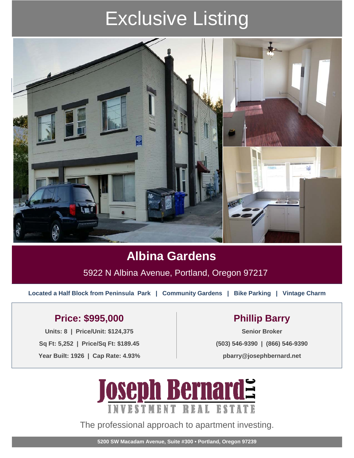# Exclusive Listing



## **Albina Gardens**

5922 N Albina Avenue, Portland, Oregon 97217

**Located a Half Block from Peninsula Park | Community Gardens | Bike Parking | Vintage Charm**

### Price: \$995,000 Phillip Barry

**Units: 8 | Price/Unit: \$124,375 Senior Broker Sq Ft: 5,252 | Price/Sq Ft: \$189.45 Year Built: 1926 | Cap Rate: 4.93%**

**(503) 546-9390 | (866) 546-9390**

**pbarry@josephbernard.net**



The professional approach to apartment investing.

**5200 SW Macadam Avenue, Suite #300 • Portland, Oregon 97239**